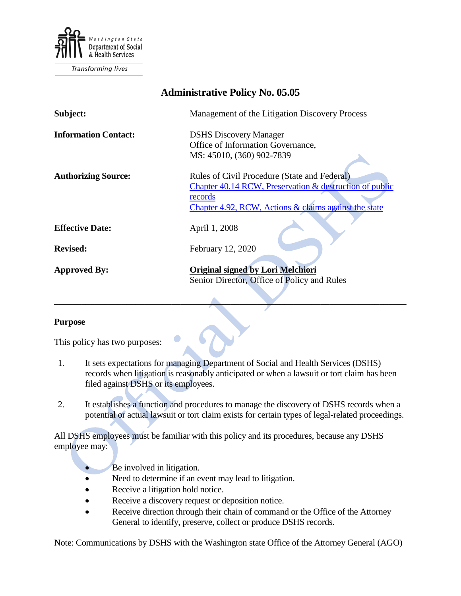

Transforming lives

| <b>Administrative Policy No. 05.05</b> |                                                                                                                                                                             |
|----------------------------------------|-----------------------------------------------------------------------------------------------------------------------------------------------------------------------------|
| Subject:                               | Management of the Litigation Discovery Process                                                                                                                              |
| <b>Information Contact:</b>            | <b>DSHS Discovery Manager</b><br>Office of Information Governance,<br>MS: 45010, (360) 902-7839                                                                             |
| <b>Authorizing Source:</b>             | Rules of Civil Procedure (State and Federal)<br>Chapter 40.14 RCW, Preservation & destruction of public<br>records<br>Chapter 4.92, RCW, Actions & claims against the state |
| <b>Effective Date:</b>                 | April 1, 2008                                                                                                                                                               |
| <b>Revised:</b>                        | February 12, 2020                                                                                                                                                           |
| <b>Approved By:</b>                    | <b>Original signed by Lori Melchiori</b><br>Senior Director, Office of Policy and Rules                                                                                     |

#### **Purpose**

This policy has two purposes:

1. It sets expectations for managing Department of Social and Health Services (DSHS) records when litigation is reasonably anticipated or when a lawsuit or tort claim has been filed against DSHS or its employees.

\_\_\_\_\_\_\_\_\_\_\_\_\_\_\_\_\_\_\_\_\_\_\_\_\_\_\_\_\_\_\_\_\_\_\_\_\_\_\_\_\_\_\_\_\_\_\_\_\_\_\_\_\_\_\_\_\_\_\_\_\_\_\_\_\_\_\_\_\_\_\_\_\_\_\_\_\_\_

2. It establishes a function and procedures to manage the discovery of DSHS records when a potential or actual lawsuit or tort claim exists for certain types of legal-related proceedings.

All DSHS employees must be familiar with this policy and its procedures, because any DSHS employee may:

- Be involved in litigation.
- Need to determine if an event may lead to litigation.
- Receive a litigation hold notice.
- Receive a discovery request or deposition notice.
- Receive direction through their chain of command or the Office of the Attorney General to identify, preserve, collect or produce DSHS records.

Note: Communications by DSHS with the Washington state Office of the Attorney General (AGO)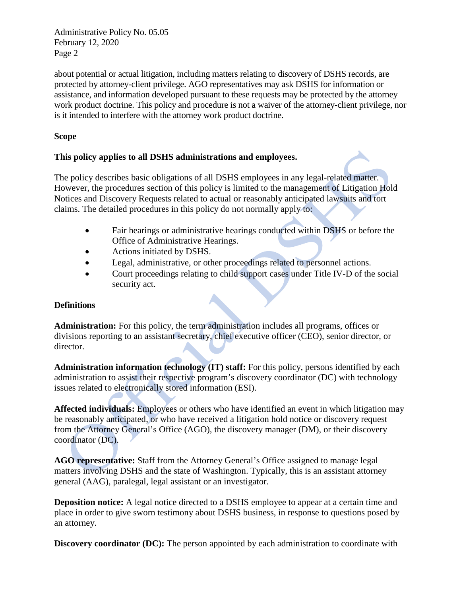about potential or actual litigation, including matters relating to discovery of DSHS records, are protected by attorney-client privilege. AGO representatives may ask DSHS for information or assistance, and information developed pursuant to these requests may be protected by the attorney work product doctrine. This policy and procedure is not a waiver of the attorney-client privilege, nor is it intended to interfere with the attorney work product doctrine.

### **Scope**

#### **This policy applies to all DSHS administrations and employees.**

The policy describes basic obligations of all DSHS employees in any legal-related matter. However, the procedures section of this policy is limited to the management of Litigation Hold Notices and Discovery Requests related to actual or reasonably anticipated lawsuits and tort claims. The detailed procedures in this policy do not normally apply to:

- Fair hearings or administrative hearings conducted within DSHS or before the Office of Administrative Hearings.
- Actions initiated by DSHS.
- Legal, administrative, or other proceedings related to personnel actions.
- Court proceedings relating to child support cases under Title IV-D of the social security act.

## **Definitions**

**Administration:** For this policy, the term administration includes all programs, offices or divisions reporting to an assistant secretary, chief executive officer (CEO), senior director, or director.

**Administration information technology (IT) staff:** For this policy, persons identified by each administration to assist their respective program's discovery coordinator (DC) with technology issues related to electronically stored information (ESI).

**Affected individuals:** Employees or others who have identified an event in which litigation may be reasonably anticipated, or who have received a litigation hold notice or discovery request from the Attorney General's Office (AGO), the discovery manager (DM), or their discovery coordinator (DC).

**AGO representative:** Staff from the Attorney General's Office assigned to manage legal matters involving DSHS and the state of Washington. Typically, this is an assistant attorney general (AAG), paralegal, legal assistant or an investigator.

**Deposition notice:** A legal notice directed to a DSHS employee to appear at a certain time and place in order to give sworn testimony about DSHS business, in response to questions posed by an attorney.

**Discovery coordinator (DC):** The person appointed by each administration to coordinate with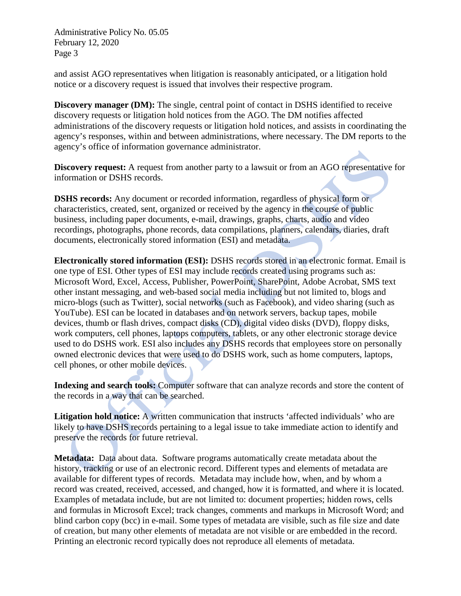and assist AGO representatives when litigation is reasonably anticipated, or a litigation hold notice or a discovery request is issued that involves their respective program.

**Discovery manager (DM):** The single, central point of contact in DSHS identified to receive discovery requests or litigation hold notices from the AGO. The DM notifies affected administrations of the discovery requests or litigation hold notices, and assists in coordinating the agency's responses, within and between administrations, where necessary. The DM reports to the agency's office of information governance administrator.

**Discovery request:** A request from another party to a lawsuit or from an AGO representative for information or DSHS records.

**DSHS records:** Any document or recorded information, regardless of physical form or characteristics, created, sent, organized or received by the agency in the course of public business, including paper documents, e-mail, drawings, graphs, charts, audio and video recordings, photographs, phone records, data compilations, planners, calendars, diaries, draft documents, electronically stored information (ESI) and metadata.

**Electronically stored information (ESI):** DSHS records stored in an electronic format. Email is one type of ESI. Other types of ESI may include records created using programs such as: Microsoft Word, Excel, Access, Publisher, PowerPoint, SharePoint, Adobe Acrobat, SMS text other instant messaging, and web-based social media including but not limited to, blogs and micro-blogs (such as Twitter), social networks (such as Facebook), and video sharing (such as YouTube). ESI can be located in databases and on network servers, backup tapes, mobile devices, thumb or flash drives, compact disks (CD), digital video disks (DVD), floppy disks, work computers, cell phones, laptops computers, tablets, or any other electronic storage device used to do DSHS work. ESI also includes any DSHS records that employees store on personally owned electronic devices that were used to do DSHS work, such as home computers, laptops, cell phones, or other mobile devices.

**Indexing and search tools:** Computer software that can analyze records and store the content of the records in a way that can be searched.

**Litigation hold notice:** A written communication that instructs 'affected individuals' who are likely to have DSHS records pertaining to a legal issue to take immediate action to identify and preserve the records for future retrieval.

**Metadata:** Data about data. Software programs automatically create metadata about the history, tracking or use of an electronic record. Different types and elements of metadata are available for different types of records. Metadata may include how, when, and by whom a record was created, received, accessed, and changed, how it is formatted, and where it is located. Examples of metadata include, but are not limited to: document properties; hidden rows, cells and formulas in Microsoft Excel; track changes, comments and markups in Microsoft Word; and blind carbon copy (bcc) in e-mail. Some types of metadata are visible, such as file size and date of creation, but many other elements of metadata are not visible or are embedded in the record. Printing an electronic record typically does not reproduce all elements of metadata.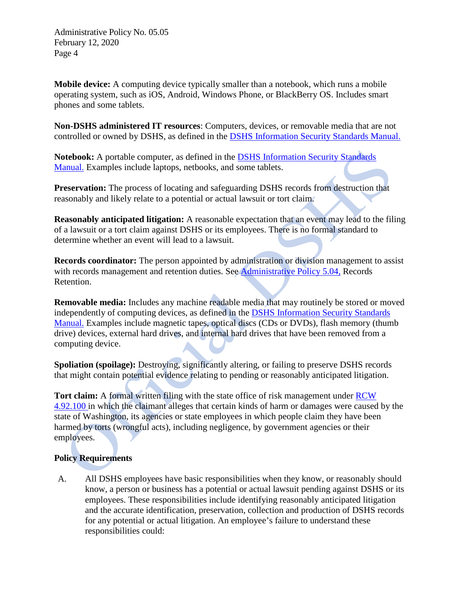**Mobile device:** A computing device typically smaller than a notebook, which runs a mobile operating system, such as iOS, Android, Windows Phone, or BlackBerry OS. Includes smart phones and some tablets.

**Non-DSHS administered IT resources**: Computers, devices, or removable media that are not controlled or owned by DSHS, as defined in the [DSHS Information Security Standards Manual.](http://ishare.dshs.wa.lcl/Security/Manuals/Standards)

**Notebook:** A portable computer, as defined in the [DSHS Information Security Standards](http://ishare.dshs.wa.lcl/Security/Manuals/Standards)  [Manual.](http://ishare.dshs.wa.lcl/Security/Manuals/Standards) Examples include laptops, netbooks, and some tablets.

**Preservation:** The process of locating and safeguarding DSHS records from destruction that reasonably and likely relate to a potential or actual lawsuit or tort claim.

**Reasonably anticipated litigation:** A reasonable expectation that an event may lead to the filing of a lawsuit or a tort claim against DSHS or its employees. There is no formal standard to determine whether an event will lead to a lawsuit.

**Records coordinator:** The person appointed by administration or division management to assist with records management and retention duties. See [Administrative Policy 5.04,](http://one.dshs.wa.lcl/Policies/Administrative/DSHS-AP-05-04.pdf) Records Retention.

**Removable media:** Includes any machine readable media that may routinely be stored or moved independently of computing devices, as defined in the [DSHS Information Security Standards](http://ishare.dshs.wa.lcl/Security/Manuals/Standards)  [Manual.](http://ishare.dshs.wa.lcl/Security/Manuals/Standards) Examples include magnetic tapes, optical discs (CDs or DVDs), flash memory (thumb drive) devices, external hard drives, and internal hard drives that have been removed from a computing device.

**Spoliation (spoilage):** Destroying, significantly altering, or failing to preserve DSHS records that might contain potential evidence relating to pending or reasonably anticipated litigation.

**Tort claim:** A formal written filing with the state office of risk management under [RCW](http://apps.leg.wa.gov/RCW/default.aspx?cite=4.92.100) [4.92.100 i](http://apps.leg.wa.gov/RCW/default.aspx?cite=4.92.100)n which the claimant alleges that certain kinds of harm or damages were caused by the state of Washington, its agencies or state employees in which people claim they have been harmed by torts (wrongful acts), including negligence, by government agencies or their employees.

#### **Policy Requirements**

A. All DSHS employees have basic responsibilities when they know, or reasonably should know, a person or business has a potential or actual lawsuit pending against DSHS or its employees. These responsibilities include identifying reasonably anticipated litigation and the accurate identification, preservation, collection and production of DSHS records for any potential or actual litigation. An employee's failure to understand these responsibilities could: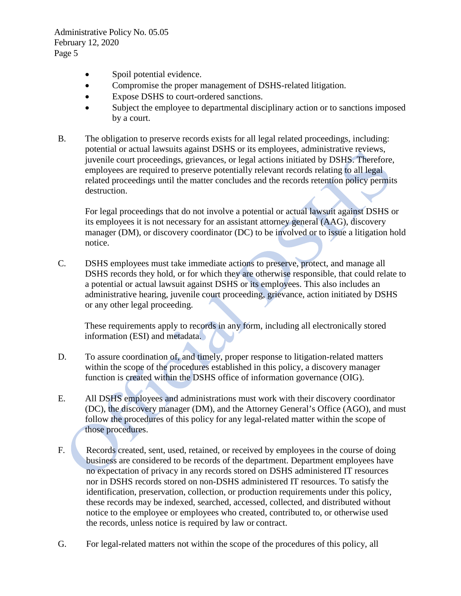- Spoil potential evidence.
- Compromise the proper management of DSHS-related litigation.
- Expose DSHS to court-ordered sanctions.
- Subject the employee to departmental disciplinary action or to sanctions imposed by a court.
- B. The obligation to preserve records exists for all legal related proceedings, including: potential or actual lawsuits against DSHS or its employees, administrative reviews, juvenile court proceedings, grievances, or legal actions initiated by DSHS. Therefore, employees are required to preserve potentially relevant records relating to all legal related proceedings until the matter concludes and the records retention policy permits destruction.

For legal proceedings that do not involve a potential or actual lawsuit against DSHS or its employees it is not necessary for an assistant attorney general (AAG), discovery manager (DM), or discovery coordinator (DC) to be involved or to issue a litigation hold notice.

C. DSHS employees must take immediate actions to preserve, protect, and manage all DSHS records they hold, or for which they are otherwise responsible, that could relate to a potential or actual lawsuit against DSHS or its employees. This also includes an administrative hearing, juvenile court proceeding, grievance, action initiated by DSHS or any other legal proceeding.

These requirements apply to records in any form, including all electronically stored information (ESI) and metadata.

- D. To assure coordination of, and timely, proper response to litigation-related matters within the scope of the procedures established in this policy, a discovery manager function is created within the DSHS office of information governance (OIG).
- E. All DSHS employees and administrations must work with their discovery coordinator (DC), the discovery manager (DM), and the Attorney General's Office (AGO), and must follow the procedures of this policy for any legal-related matter within the scope of those procedures.
- F. Records created, sent, used, retained, or received by employees in the course of doing business are considered to be records of the department. Department employees have no expectation of privacy in any records stored on DSHS administered IT resources nor in DSHS records stored on non-DSHS administered IT resources. To satisfy the identification, preservation, collection, or production requirements under this policy, these records may be indexed, searched, accessed, collected, and distributed without notice to the employee or employees who created, contributed to, or otherwise used the records, unless notice is required by law or contract.
- G. For legal-related matters not within the scope of the procedures of this policy, all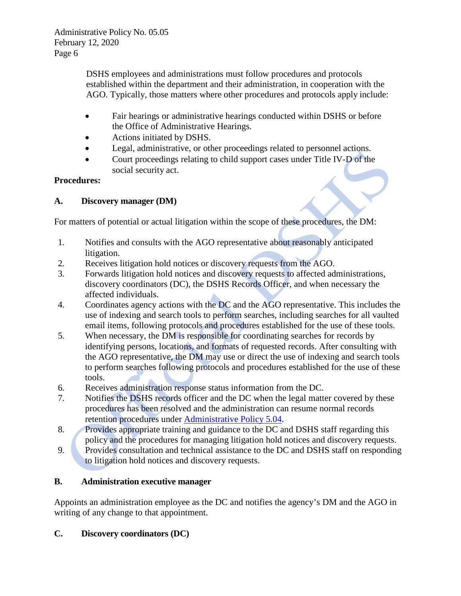DSHS employees and administrations must follow procedures and protocols established within the department and their administration, in cooperation with the AGO. Typically, those matters where other procedures and protocols apply include:

- Fair hearings or administrative hearings conducted within DSHS or before the Office of Administrative Hearings.
- Actions initiated by DSHS.
- Legal, administrative, or other proceedings related to personnel actions.
- Court proceedings relating to child support cases under Title IV-D of the social security act.

# **Procedures:**

# **A. Discovery manager (DM)**

For matters of potential or actual litigation within the scope of these procedures, the DM:

- 1. Notifies and consults with the AGO representative about reasonably anticipated litigation.
- 2. Receives litigation hold notices or discovery requests from the AGO.
- 3. Forwards litigation hold notices and discovery requests to affected administrations, discovery coordinators (DC), the DSHS Records Officer, and when necessary the affected individuals.
- 4. Coordinates agency actions with the DC and the AGO representative. This includes the use of indexing and search tools to perform searches, including searches for all vaulted email items, following protocols and procedures established for the use of these tools.
- 5. When necessary, the DM is responsible for coordinating searches for records by identifying persons, locations, and formats of requested records. After consulting with the AGO representative, the DM may use or direct the use of indexing and search tools to perform searches following protocols and procedures established for the use of these tools.
- 6. Receives administration response status information from the DC.
- 7. Notifies the DSHS records officer and the DC when the legal matter covered by these procedures has been resolved and the administration can resume normal records retention procedures under [Administrative Policy 5.04.](http://one.dshs.wa.lcl/Policies/Administrative/DSHS-AP-05-04.pdf)
- 8. Provides appropriate training and guidance to the DC and DSHS staff regarding this policy and the procedures for managing litigation hold notices and discovery requests.
- 9. Provides consultation and technical assistance to the DC and DSHS staff on responding to litigation hold notices and discovery requests.

# **B. Administration executive manager**

Appoints an administration employee as the DC and notifies the agency's DM and the AGO in writing of any change to that appointment.

# **C. Discovery coordinators (DC)**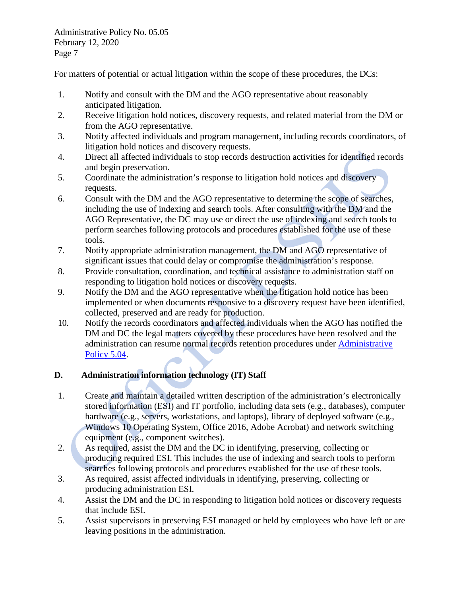For matters of potential or actual litigation within the scope of these procedures, the DCs:

- 1. Notify and consult with the DM and the AGO representative about reasonably anticipated litigation.
- 2. Receive litigation hold notices, discovery requests, and related material from the DM or from the AGO representative.
- 3. Notify affected individuals and program management, including records coordinators, of litigation hold notices and discovery requests.
- 4. Direct all affected individuals to stop records destruction activities for identified records and begin preservation.
- 5. Coordinate the administration's response to litigation hold notices and discovery requests.
- 6. Consult with the DM and the AGO representative to determine the scope of searches, including the use of indexing and search tools. After consulting with the DM and the AGO Representative, the DC may use or direct the use of indexing and search tools to perform searches following protocols and procedures established for the use of these tools.
- 7. Notify appropriate administration management, the DM and AGO representative of significant issues that could delay or compromise the administration's response.
- 8. Provide consultation, coordination, and technical assistance to administration staff on responding to litigation hold notices or discovery requests.
- 9. Notify the DM and the AGO representative when the litigation hold notice has been implemented or when documents responsive to a discovery request have been identified, collected, preserved and are ready for production.
- 10. Notify the records coordinators and affected individuals when the AGO has notified the DM and DC the legal matters covered by these procedures have been resolved and the administration can resume normal records retention procedures under [Administrative](http://one.dshs.wa.lcl/Policies/Administrative/DSHS-AP-05-04.pdf)  [Policy 5.04.](http://one.dshs.wa.lcl/Policies/Administrative/DSHS-AP-05-04.pdf)

## **D. Administration information technology (IT) Staff**

- 1. Create and maintain a detailed written description of the administration's electronically stored information (ESI) and IT portfolio, including data sets (e.g., databases), computer hardware (e.g., servers, workstations, and laptops), library of deployed software (e.g., Windows 10 Operating System, Office 2016, Adobe Acrobat) and network switching equipment (e.g., component switches).
- 2. As required, assist the DM and the DC in identifying, preserving, collecting or producing required ESI. This includes the use of indexing and search tools to perform searches following protocols and procedures established for the use of these tools.
- 3. As required, assist affected individuals in identifying, preserving, collecting or producing administration ESI.
- 4. Assist the DM and the DC in responding to litigation hold notices or discovery requests that include ESI.
- 5. Assist supervisors in preserving ESI managed or held by employees who have left or are leaving positions in the administration.